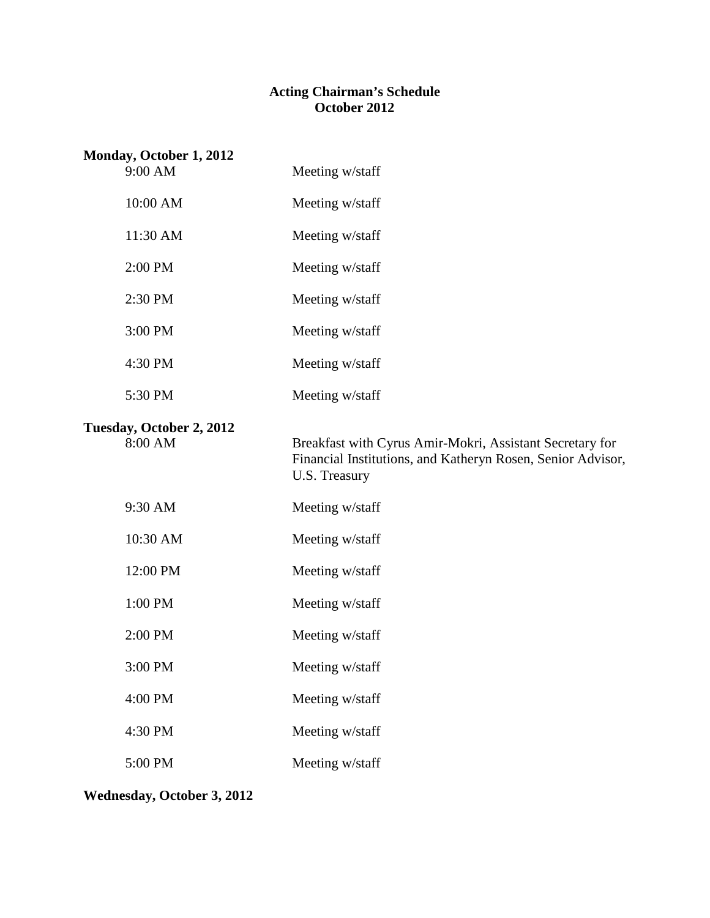#### **Acting Chairman's Schedule October 2012**

| Monday, October 1, 2012<br>9:00 AM  | Meeting w/staff                                                                                                                          |  |
|-------------------------------------|------------------------------------------------------------------------------------------------------------------------------------------|--|
| 10:00 AM                            | Meeting w/staff                                                                                                                          |  |
| 11:30 AM                            | Meeting w/staff                                                                                                                          |  |
| 2:00 PM                             | Meeting w/staff                                                                                                                          |  |
| 2:30 PM                             | Meeting w/staff                                                                                                                          |  |
| 3:00 PM                             | Meeting w/staff                                                                                                                          |  |
| 4:30 PM                             | Meeting w/staff                                                                                                                          |  |
| 5:30 PM                             | Meeting w/staff                                                                                                                          |  |
| Tuesday, October 2, 2012<br>8:00 AM | Breakfast with Cyrus Amir-Mokri, Assistant Secretary for<br>Financial Institutions, and Katheryn Rosen, Senior Advisor,<br>U.S. Treasury |  |
| 9:30 AM                             | Meeting w/staff                                                                                                                          |  |
| 10:30 AM                            | Meeting w/staff                                                                                                                          |  |
| 12:00 PM                            | Meeting w/staff                                                                                                                          |  |
| 1:00 PM                             | Meeting w/staff                                                                                                                          |  |
| 2:00 PM                             | Meeting w/staff                                                                                                                          |  |
| 3:00 PM                             | Meeting w/staff                                                                                                                          |  |
| 4:00 PM                             | Meeting w/staff                                                                                                                          |  |
| 4:30 PM                             | Meeting w/staff                                                                                                                          |  |
| 5:00 PM                             | Meeting w/staff                                                                                                                          |  |

**Wednesday, October 3, 2012**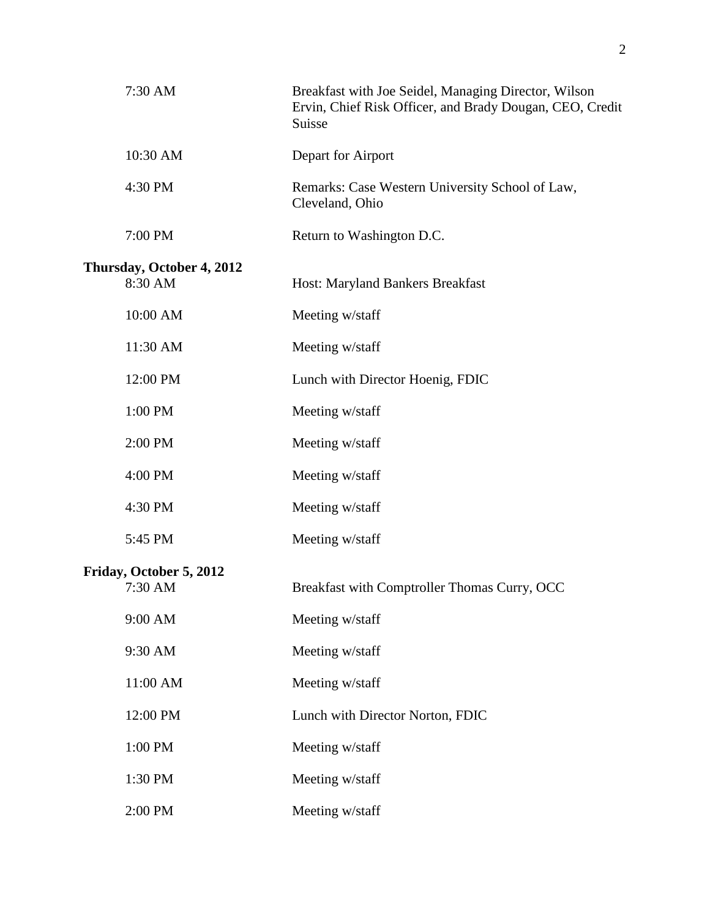| 7:30 AM                   | Breakfast with Joe Seidel, Managing Director, Wilson<br>Ervin, Chief Risk Officer, and Brady Dougan, CEO, Credit<br>Suisse |
|---------------------------|----------------------------------------------------------------------------------------------------------------------------|
| 10:30 AM                  | Depart for Airport                                                                                                         |
| 4:30 PM                   | Remarks: Case Western University School of Law,<br>Cleveland, Ohio                                                         |
| 7:00 PM                   | Return to Washington D.C.                                                                                                  |
| Thursday, October 4, 2012 |                                                                                                                            |
| 8:30 AM                   | Host: Maryland Bankers Breakfast                                                                                           |
| 10:00 AM                  | Meeting w/staff                                                                                                            |
| 11:30 AM                  | Meeting w/staff                                                                                                            |
| 12:00 PM                  | Lunch with Director Hoenig, FDIC                                                                                           |
| 1:00 PM                   | Meeting w/staff                                                                                                            |
| 2:00 PM                   | Meeting w/staff                                                                                                            |
| 4:00 PM                   | Meeting w/staff                                                                                                            |
| 4:30 PM                   | Meeting w/staff                                                                                                            |
| 5:45 PM                   | Meeting w/staff                                                                                                            |
| Friday, October 5, 2012   |                                                                                                                            |
| 7:30 AM                   | Breakfast with Comptroller Thomas Curry, OCC                                                                               |
| 9:00 AM                   | Meeting w/staff                                                                                                            |
| 9:30 AM                   | Meeting w/staff                                                                                                            |
| 11:00 AM                  | Meeting w/staff                                                                                                            |
| 12:00 PM                  | Lunch with Director Norton, FDIC                                                                                           |
| 1:00 PM                   | Meeting w/staff                                                                                                            |
| 1:30 PM                   | Meeting w/staff                                                                                                            |
| 2:00 PM                   | Meeting w/staff                                                                                                            |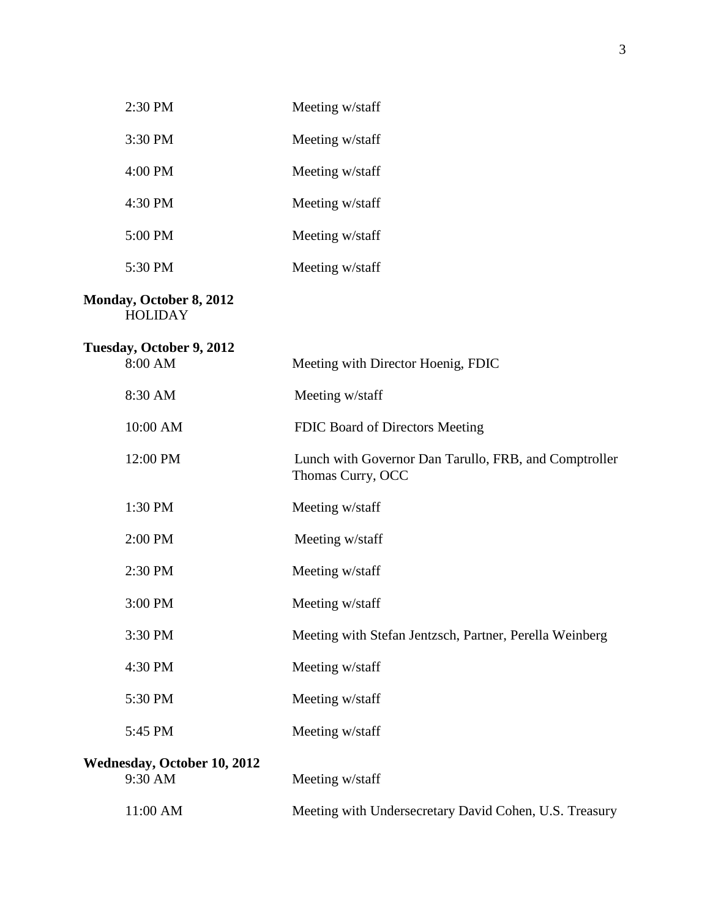| 2:30 PM                                       | Meeting w/staff                                                            |
|-----------------------------------------------|----------------------------------------------------------------------------|
| 3:30 PM                                       | Meeting w/staff                                                            |
| 4:00 PM                                       | Meeting w/staff                                                            |
| 4:30 PM                                       | Meeting w/staff                                                            |
| 5:00 PM                                       | Meeting w/staff                                                            |
| 5:30 PM                                       | Meeting w/staff                                                            |
| Monday, October 8, 2012<br><b>HOLIDAY</b>     |                                                                            |
| Tuesday, October 9, 2012<br>8:00 AM           | Meeting with Director Hoenig, FDIC                                         |
| 8:30 AM                                       | Meeting w/staff                                                            |
| 10:00 AM                                      | FDIC Board of Directors Meeting                                            |
| 12:00 PM                                      | Lunch with Governor Dan Tarullo, FRB, and Comptroller<br>Thomas Curry, OCC |
| 1:30 PM                                       | Meeting w/staff                                                            |
| 2:00 PM                                       | Meeting w/staff                                                            |
| 2:30 PM                                       | Meeting w/staff                                                            |
| 3:00 PM                                       | Meeting w/staff                                                            |
| 3:30 PM                                       | Meeting with Stefan Jentzsch, Partner, Perella Weinberg                    |
| 4:30 PM                                       | Meeting w/staff                                                            |
| 5:30 PM                                       | Meeting w/staff                                                            |
| 5:45 PM                                       | Meeting w/staff                                                            |
| <b>Wednesday, October 10, 2012</b><br>9:30 AM | Meeting w/staff                                                            |
| 11:00 AM                                      | Meeting with Undersecretary David Cohen, U.S. Treasury                     |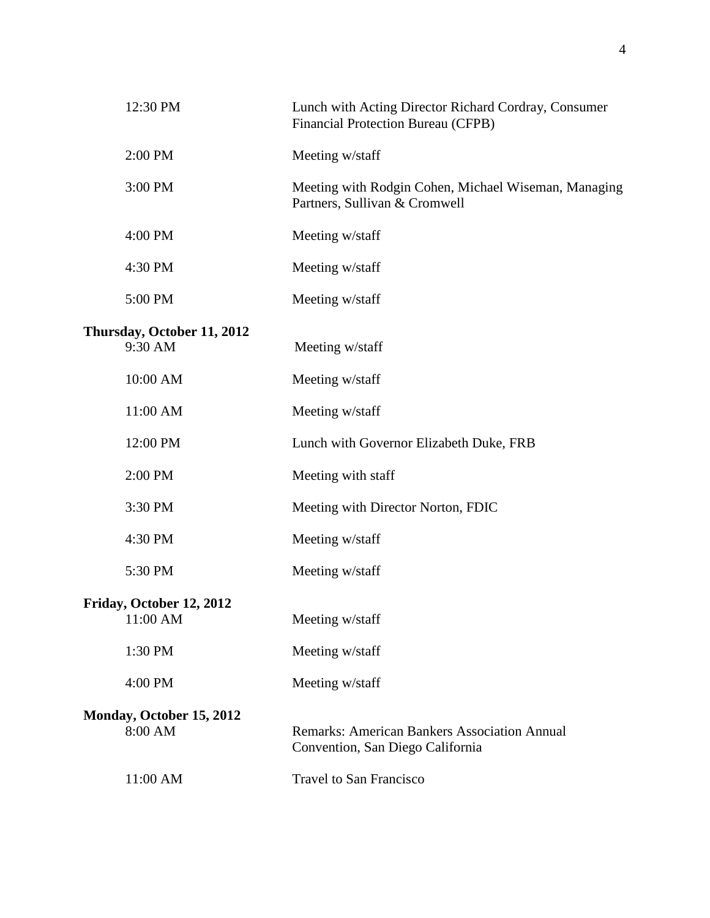| 12:30 PM                              | Lunch with Acting Director Richard Cordray, Consumer<br>Financial Protection Bureau (CFPB) |
|---------------------------------------|--------------------------------------------------------------------------------------------|
| 2:00 PM                               | Meeting w/staff                                                                            |
| 3:00 PM                               | Meeting with Rodgin Cohen, Michael Wiseman, Managing<br>Partners, Sullivan & Cromwell      |
| 4:00 PM                               | Meeting w/staff                                                                            |
| 4:30 PM                               | Meeting w/staff                                                                            |
| 5:00 PM                               | Meeting w/staff                                                                            |
| Thursday, October 11, 2012<br>9:30 AM | Meeting w/staff                                                                            |
| 10:00 AM                              | Meeting w/staff                                                                            |
| 11:00 AM                              | Meeting w/staff                                                                            |
| 12:00 PM                              | Lunch with Governor Elizabeth Duke, FRB                                                    |
| 2:00 PM                               | Meeting with staff                                                                         |
| 3:30 PM                               | Meeting with Director Norton, FDIC                                                         |
| 4:30 PM                               | Meeting w/staff                                                                            |
| 5:30 PM                               | Meeting w/staff                                                                            |
| Friday, October 12, 2012<br>11:00 AM  | Meeting w/staff                                                                            |
| 1:30 PM                               | Meeting w/staff                                                                            |
| 4:00 PM                               | Meeting w/staff                                                                            |
| Monday, October 15, 2012<br>8:00 AM   | <b>Remarks: American Bankers Association Annual</b><br>Convention, San Diego California    |
| 11:00 AM                              | Travel to San Francisco                                                                    |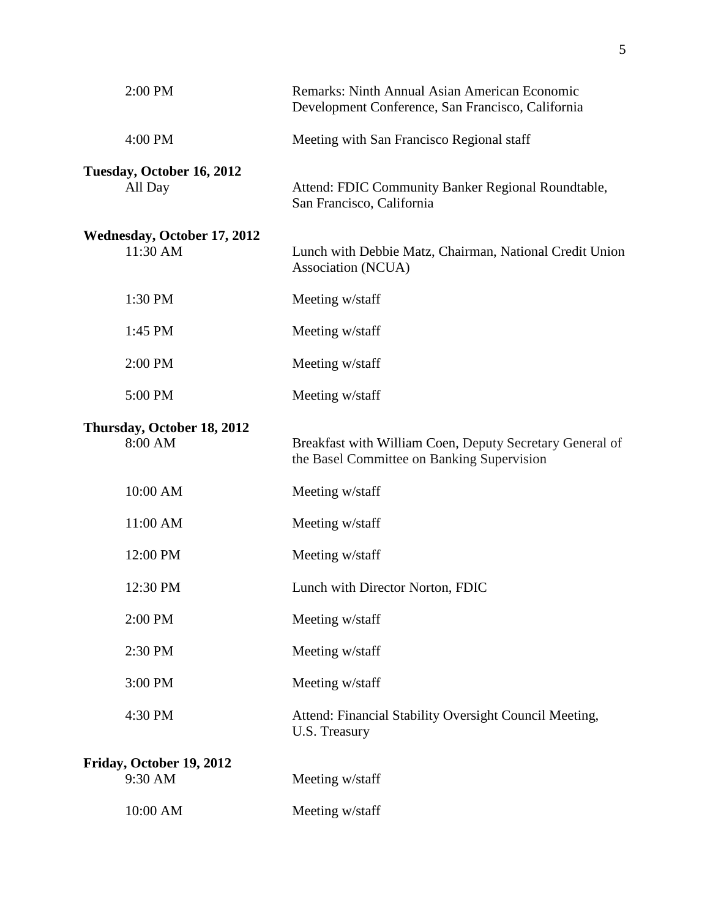| 2:00 PM                                        | Remarks: Ninth Annual Asian American Economic<br>Development Conference, San Francisco, California     |
|------------------------------------------------|--------------------------------------------------------------------------------------------------------|
| 4:00 PM                                        | Meeting with San Francisco Regional staff                                                              |
| Tuesday, October 16, 2012<br>All Day           | Attend: FDIC Community Banker Regional Roundtable,<br>San Francisco, California                        |
| <b>Wednesday, October 17, 2012</b><br>11:30 AM | Lunch with Debbie Matz, Chairman, National Credit Union<br>Association (NCUA)                          |
| 1:30 PM                                        | Meeting w/staff                                                                                        |
| 1:45 PM                                        | Meeting w/staff                                                                                        |
| 2:00 PM                                        | Meeting w/staff                                                                                        |
| 5:00 PM                                        | Meeting w/staff                                                                                        |
| Thursday, October 18, 2012<br>8:00 AM          | Breakfast with William Coen, Deputy Secretary General of<br>the Basel Committee on Banking Supervision |
| 10:00 AM                                       | Meeting w/staff                                                                                        |
| 11:00 AM                                       | Meeting w/staff                                                                                        |
| 12:00 PM                                       | Meeting w/staff                                                                                        |
| 12:30 PM                                       | Lunch with Director Norton, FDIC                                                                       |
| 2:00 PM                                        | Meeting w/staff                                                                                        |
| 2:30 PM                                        | Meeting w/staff                                                                                        |
| 3:00 PM                                        | Meeting w/staff                                                                                        |
| 4:30 PM                                        | Attend: Financial Stability Oversight Council Meeting,<br>U.S. Treasury                                |
| Friday, October 19, 2012<br>9:30 AM            | Meeting w/staff                                                                                        |
| 10:00 AM                                       | Meeting w/staff                                                                                        |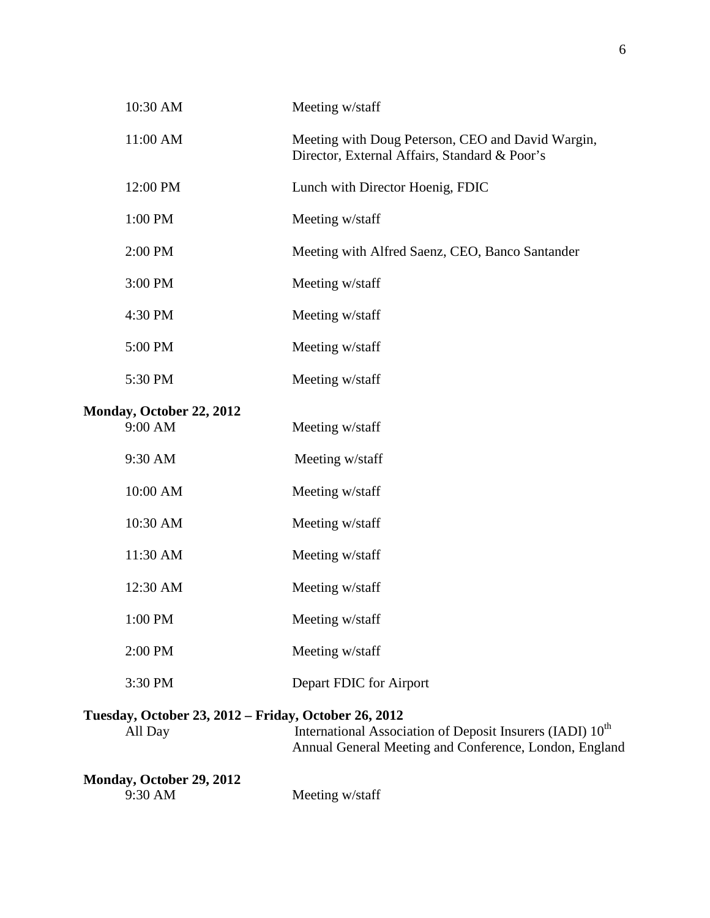| 10:30 AM                                                        | Meeting w/staff                                                                                                                 |
|-----------------------------------------------------------------|---------------------------------------------------------------------------------------------------------------------------------|
| 11:00 AM                                                        | Meeting with Doug Peterson, CEO and David Wargin,<br>Director, External Affairs, Standard & Poor's                              |
| 12:00 PM                                                        | Lunch with Director Hoenig, FDIC                                                                                                |
| 1:00 PM                                                         | Meeting w/staff                                                                                                                 |
| 2:00 PM                                                         | Meeting with Alfred Saenz, CEO, Banco Santander                                                                                 |
| 3:00 PM                                                         | Meeting w/staff                                                                                                                 |
| 4:30 PM                                                         | Meeting w/staff                                                                                                                 |
| 5:00 PM                                                         | Meeting w/staff                                                                                                                 |
| 5:30 PM                                                         | Meeting w/staff                                                                                                                 |
| Monday, October 22, 2012<br>9:00 AM                             | Meeting w/staff                                                                                                                 |
| 9:30 AM                                                         | Meeting w/staff                                                                                                                 |
| 10:00 AM                                                        | Meeting w/staff                                                                                                                 |
| 10:30 AM                                                        | Meeting w/staff                                                                                                                 |
| 11:30 AM                                                        | Meeting w/staff                                                                                                                 |
| 12:30 AM                                                        | Meeting w/staff                                                                                                                 |
| 1:00 PM                                                         | Meeting w/staff                                                                                                                 |
| 2:00 PM                                                         | Meeting w/staff                                                                                                                 |
| 3:30 PM                                                         | Depart FDIC for Airport                                                                                                         |
| Tuesday, October 23, 2012 – Friday, October 26, 2012<br>All Day | International Association of Deposit Insurers (IADI) 10 <sup>th</sup><br>Annual General Meeting and Conference, London, England |
| Monday, October 29, 2012                                        |                                                                                                                                 |

9:30 AM Meeting w/staff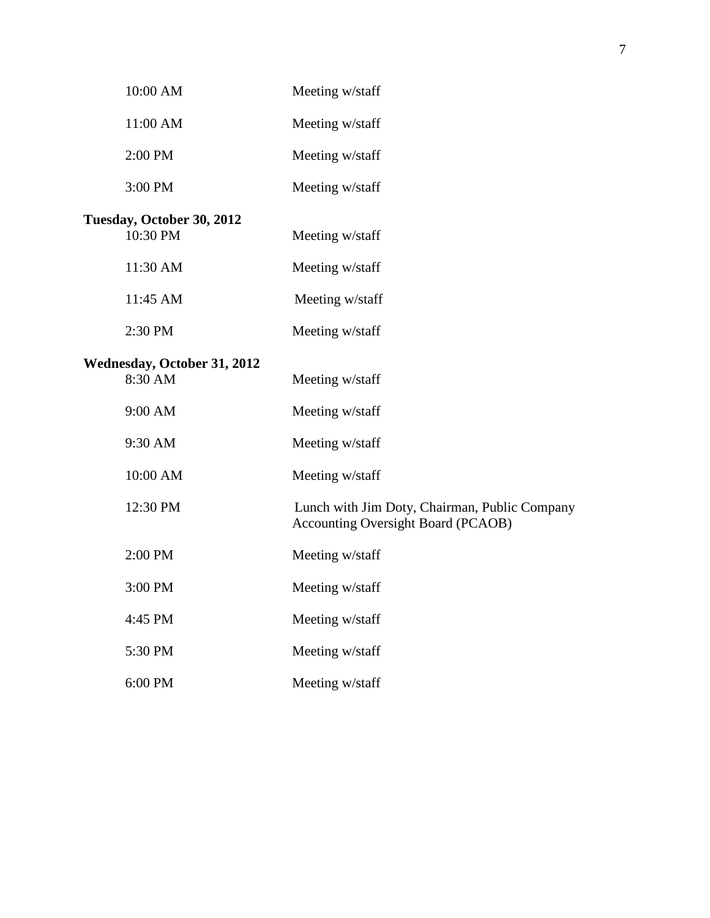| 10:00 AM                                      | Meeting w/staff                                                                            |
|-----------------------------------------------|--------------------------------------------------------------------------------------------|
| 11:00 AM                                      | Meeting w/staff                                                                            |
| 2:00 PM                                       | Meeting w/staff                                                                            |
| 3:00 PM                                       | Meeting w/staff                                                                            |
| Tuesday, October 30, 2012                     |                                                                                            |
| 10:30 PM                                      | Meeting w/staff                                                                            |
| 11:30 AM                                      | Meeting w/staff                                                                            |
| 11:45 AM                                      | Meeting w/staff                                                                            |
| 2:30 PM                                       | Meeting w/staff                                                                            |
|                                               |                                                                                            |
| <b>Wednesday, October 31, 2012</b><br>8:30 AM | Meeting w/staff                                                                            |
|                                               |                                                                                            |
| 9:00 AM                                       | Meeting w/staff                                                                            |
| 9:30 AM                                       | Meeting w/staff                                                                            |
| 10:00 AM                                      | Meeting w/staff                                                                            |
| 12:30 PM                                      | Lunch with Jim Doty, Chairman, Public Company<br><b>Accounting Oversight Board (PCAOB)</b> |
| 2:00 PM                                       | Meeting w/staff                                                                            |
| 3:00 PM                                       | Meeting w/staff                                                                            |
| 4:45 PM                                       | Meeting w/staff                                                                            |
| 5:30 PM                                       | Meeting w/staff                                                                            |
| 6:00 PM                                       | Meeting w/staff                                                                            |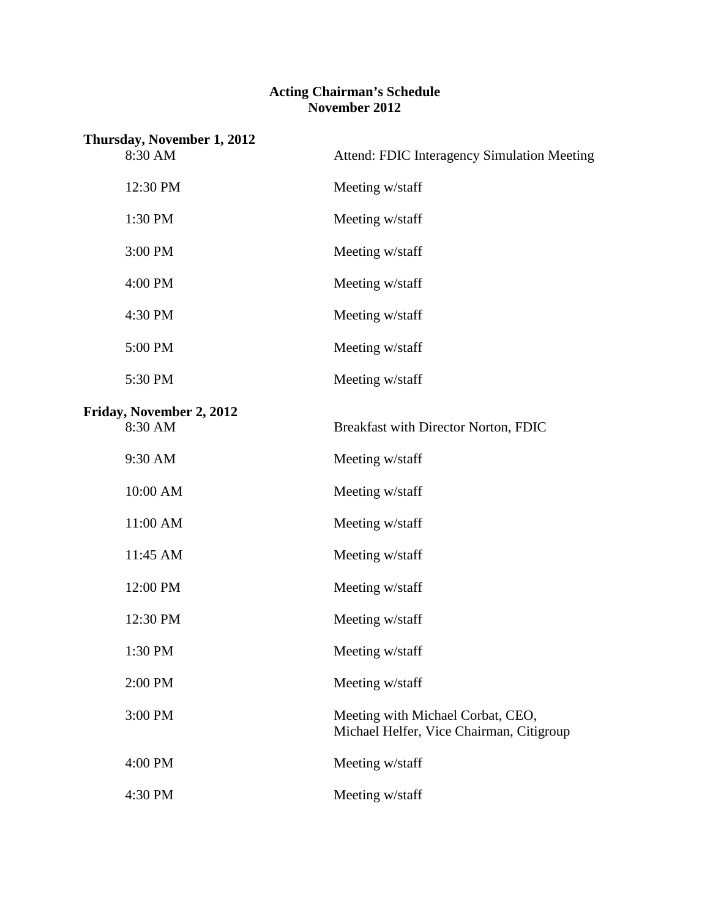#### **Acting Chairman's Schedule November 2012**

| Thursday, November 1, 2012          |                                                                               |
|-------------------------------------|-------------------------------------------------------------------------------|
| 8:30 AM                             | <b>Attend: FDIC Interagency Simulation Meeting</b>                            |
| 12:30 PM                            | Meeting w/staff                                                               |
| 1:30 PM                             | Meeting w/staff                                                               |
| 3:00 PM                             | Meeting w/staff                                                               |
| 4:00 PM                             | Meeting w/staff                                                               |
| 4:30 PM                             | Meeting w/staff                                                               |
| 5:00 PM                             | Meeting w/staff                                                               |
| 5:30 PM                             | Meeting w/staff                                                               |
|                                     |                                                                               |
| Friday, November 2, 2012<br>8:30 AM | Breakfast with Director Norton, FDIC                                          |
| 9:30 AM                             | Meeting w/staff                                                               |
| 10:00 AM                            | Meeting w/staff                                                               |
| 11:00 AM                            | Meeting w/staff                                                               |
| 11:45 AM                            | Meeting w/staff                                                               |
| 12:00 PM                            | Meeting w/staff                                                               |
| 12:30 PM                            | Meeting w/staff                                                               |
| 1:30 PM                             | Meeting w/staff                                                               |
| 2:00 PM                             | Meeting w/staff                                                               |
| 3:00 PM                             | Meeting with Michael Corbat, CEO,<br>Michael Helfer, Vice Chairman, Citigroup |
| 4:00 PM                             | Meeting w/staff                                                               |
| 4:30 PM                             | Meeting w/staff                                                               |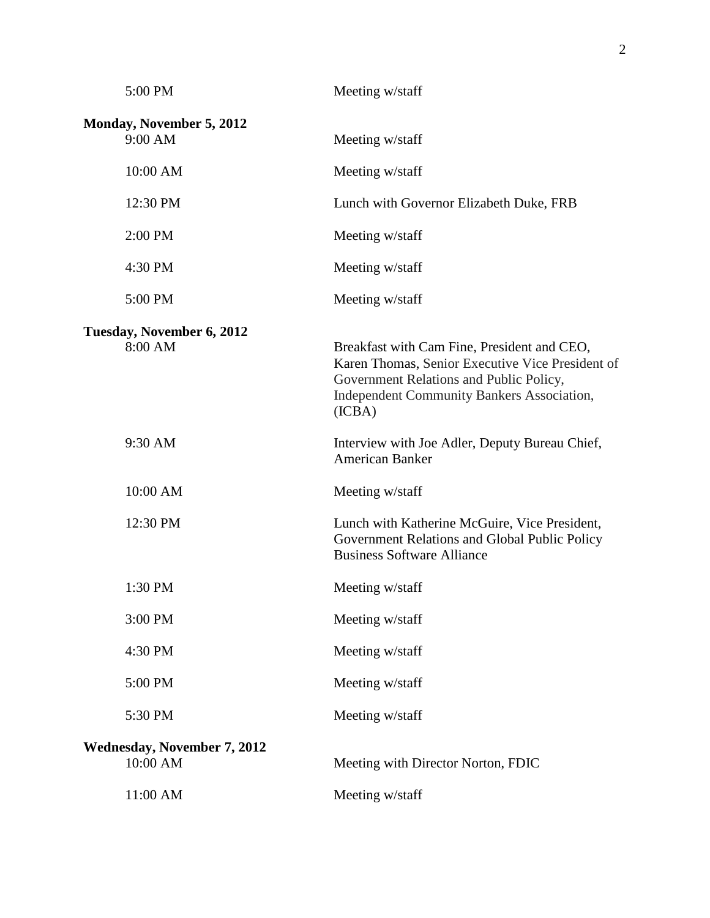| 5:00 PM                                        | Meeting w/staff                                                                                                                                                                                           |
|------------------------------------------------|-----------------------------------------------------------------------------------------------------------------------------------------------------------------------------------------------------------|
| Monday, November 5, 2012<br>9:00 AM            | Meeting w/staff                                                                                                                                                                                           |
| 10:00 AM                                       | Meeting w/staff                                                                                                                                                                                           |
| 12:30 PM                                       | Lunch with Governor Elizabeth Duke, FRB                                                                                                                                                                   |
| 2:00 PM                                        | Meeting w/staff                                                                                                                                                                                           |
| 4:30 PM                                        | Meeting w/staff                                                                                                                                                                                           |
| 5:00 PM                                        | Meeting w/staff                                                                                                                                                                                           |
| Tuesday, November 6, 2012<br>8:00 AM           | Breakfast with Cam Fine, President and CEO,<br>Karen Thomas, Senior Executive Vice President of<br>Government Relations and Public Policy,<br><b>Independent Community Bankers Association,</b><br>(ICBA) |
| 9:30 AM                                        | Interview with Joe Adler, Deputy Bureau Chief,<br>American Banker                                                                                                                                         |
| 10:00 AM                                       | Meeting w/staff                                                                                                                                                                                           |
| 12:30 PM                                       | Lunch with Katherine McGuire, Vice President,<br>Government Relations and Global Public Policy<br><b>Business Software Alliance</b>                                                                       |
| 1:30 PM                                        | Meeting w/staff                                                                                                                                                                                           |
| 3:00 PM                                        | Meeting w/staff                                                                                                                                                                                           |
| 4:30 PM                                        | Meeting w/staff                                                                                                                                                                                           |
| 5:00 PM                                        | Meeting w/staff                                                                                                                                                                                           |
| 5:30 PM                                        | Meeting w/staff                                                                                                                                                                                           |
| <b>Wednesday, November 7, 2012</b><br>10:00 AM | Meeting with Director Norton, FDIC                                                                                                                                                                        |
| 11:00 AM                                       | Meeting w/staff                                                                                                                                                                                           |
|                                                |                                                                                                                                                                                                           |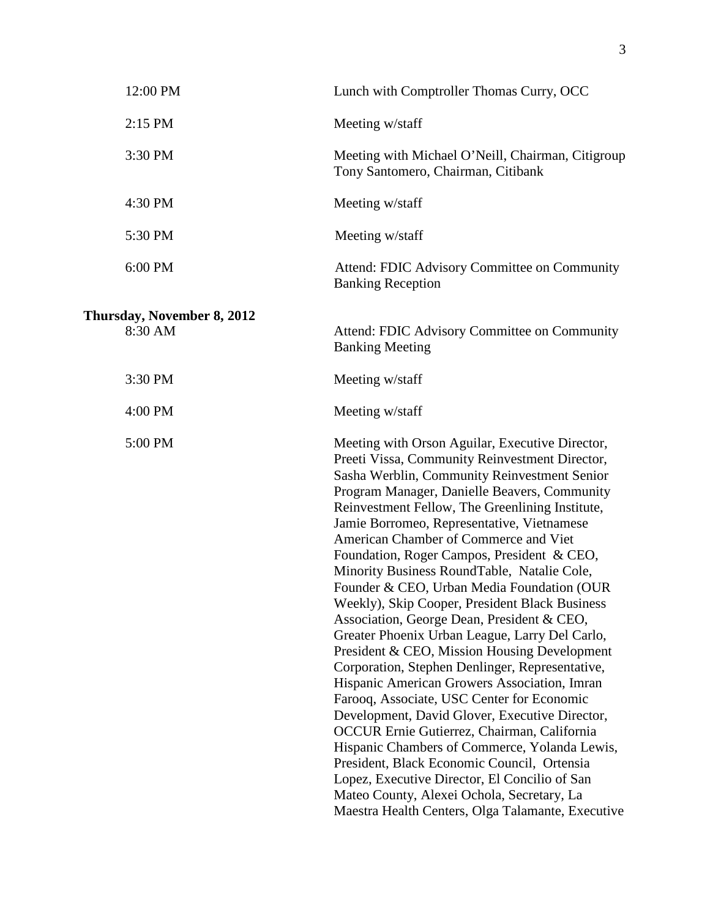| 12:00 PM                              | Lunch with Comptroller Thomas Curry, OCC                                                                                                                                                                                                                                                                                                                                                                                                                                                                                                                                                                                                                                                                                                                                                                                                                                                                                                                                                                                                                                                                                                                                                       |
|---------------------------------------|------------------------------------------------------------------------------------------------------------------------------------------------------------------------------------------------------------------------------------------------------------------------------------------------------------------------------------------------------------------------------------------------------------------------------------------------------------------------------------------------------------------------------------------------------------------------------------------------------------------------------------------------------------------------------------------------------------------------------------------------------------------------------------------------------------------------------------------------------------------------------------------------------------------------------------------------------------------------------------------------------------------------------------------------------------------------------------------------------------------------------------------------------------------------------------------------|
| 2:15 PM                               | Meeting w/staff                                                                                                                                                                                                                                                                                                                                                                                                                                                                                                                                                                                                                                                                                                                                                                                                                                                                                                                                                                                                                                                                                                                                                                                |
| 3:30 PM                               | Meeting with Michael O'Neill, Chairman, Citigroup<br>Tony Santomero, Chairman, Citibank                                                                                                                                                                                                                                                                                                                                                                                                                                                                                                                                                                                                                                                                                                                                                                                                                                                                                                                                                                                                                                                                                                        |
| 4:30 PM                               | Meeting w/staff                                                                                                                                                                                                                                                                                                                                                                                                                                                                                                                                                                                                                                                                                                                                                                                                                                                                                                                                                                                                                                                                                                                                                                                |
| 5:30 PM                               | Meeting w/staff                                                                                                                                                                                                                                                                                                                                                                                                                                                                                                                                                                                                                                                                                                                                                                                                                                                                                                                                                                                                                                                                                                                                                                                |
| 6:00 PM                               | Attend: FDIC Advisory Committee on Community<br><b>Banking Reception</b>                                                                                                                                                                                                                                                                                                                                                                                                                                                                                                                                                                                                                                                                                                                                                                                                                                                                                                                                                                                                                                                                                                                       |
| Thursday, November 8, 2012<br>8:30 AM | Attend: FDIC Advisory Committee on Community<br><b>Banking Meeting</b>                                                                                                                                                                                                                                                                                                                                                                                                                                                                                                                                                                                                                                                                                                                                                                                                                                                                                                                                                                                                                                                                                                                         |
| 3:30 PM                               | Meeting w/staff                                                                                                                                                                                                                                                                                                                                                                                                                                                                                                                                                                                                                                                                                                                                                                                                                                                                                                                                                                                                                                                                                                                                                                                |
| 4:00 PM                               | Meeting w/staff                                                                                                                                                                                                                                                                                                                                                                                                                                                                                                                                                                                                                                                                                                                                                                                                                                                                                                                                                                                                                                                                                                                                                                                |
| 5:00 PM                               | Meeting with Orson Aguilar, Executive Director,<br>Preeti Vissa, Community Reinvestment Director,<br>Sasha Werblin, Community Reinvestment Senior<br>Program Manager, Danielle Beavers, Community<br>Reinvestment Fellow, The Greenlining Institute,<br>Jamie Borromeo, Representative, Vietnamese<br>American Chamber of Commerce and Viet<br>Foundation, Roger Campos, President & CEO,<br>Minority Business RoundTable, Natalie Cole,<br>Founder & CEO, Urban Media Foundation (OUR<br>Weekly), Skip Cooper, President Black Business<br>Association, George Dean, President & CEO,<br>Greater Phoenix Urban League, Larry Del Carlo,<br>President & CEO, Mission Housing Development<br>Corporation, Stephen Denlinger, Representative,<br>Hispanic American Growers Association, Imran<br>Farooq, Associate, USC Center for Economic<br>Development, David Glover, Executive Director,<br>OCCUR Ernie Gutierrez, Chairman, California<br>Hispanic Chambers of Commerce, Yolanda Lewis,<br>President, Black Economic Council, Ortensia<br>Lopez, Executive Director, El Concilio of San<br>Mateo County, Alexei Ochola, Secretary, La<br>Maestra Health Centers, Olga Talamante, Executive |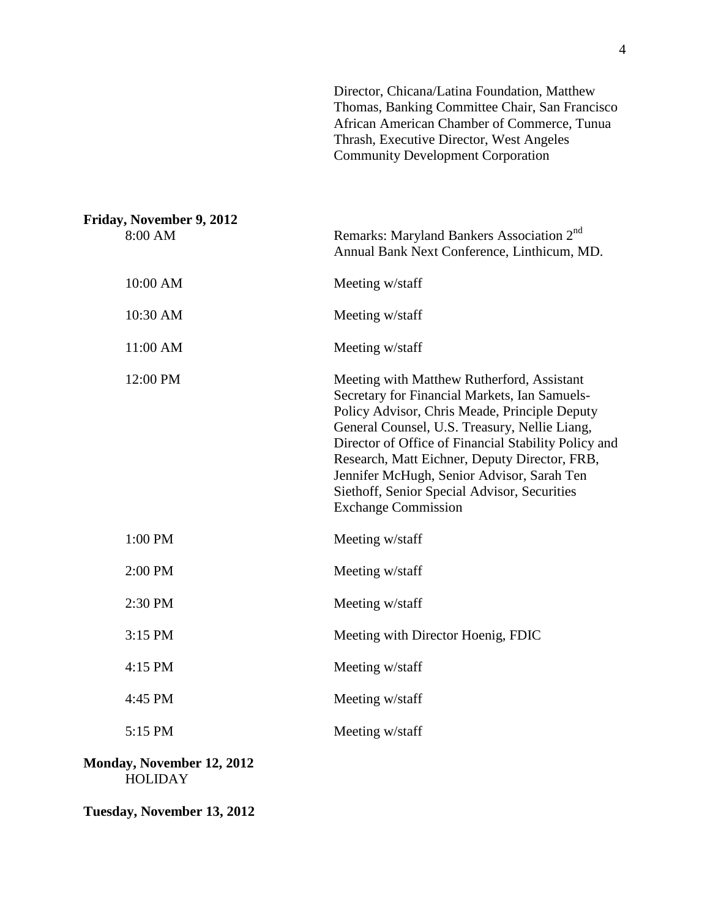| Director, Chicana/Latina Foundation, Matthew   |
|------------------------------------------------|
| Thomas, Banking Committee Chair, San Francisco |
| African American Chamber of Commerce, Tunua    |
| Thrash, Executive Director, West Angeles       |
| <b>Community Development Corporation</b>       |

| Friday, November 9, 2012<br>8:00 AM | Remarks: Maryland Bankers Association 2 <sup>nd</sup><br>Annual Bank Next Conference, Linthicum, MD.                                                                                                                                                                                                                                                                                                                               |
|-------------------------------------|------------------------------------------------------------------------------------------------------------------------------------------------------------------------------------------------------------------------------------------------------------------------------------------------------------------------------------------------------------------------------------------------------------------------------------|
| 10:00 AM                            | Meeting w/staff                                                                                                                                                                                                                                                                                                                                                                                                                    |
| 10:30 AM                            | Meeting w/staff                                                                                                                                                                                                                                                                                                                                                                                                                    |
| 11:00 AM                            | Meeting w/staff                                                                                                                                                                                                                                                                                                                                                                                                                    |
| 12:00 PM                            | Meeting with Matthew Rutherford, Assistant<br>Secretary for Financial Markets, Ian Samuels-<br>Policy Advisor, Chris Meade, Principle Deputy<br>General Counsel, U.S. Treasury, Nellie Liang,<br>Director of Office of Financial Stability Policy and<br>Research, Matt Eichner, Deputy Director, FRB,<br>Jennifer McHugh, Senior Advisor, Sarah Ten<br>Siethoff, Senior Special Advisor, Securities<br><b>Exchange Commission</b> |
| 1:00 PM                             | Meeting w/staff                                                                                                                                                                                                                                                                                                                                                                                                                    |
| 2:00 PM                             | Meeting w/staff                                                                                                                                                                                                                                                                                                                                                                                                                    |
| 2:30 PM                             | Meeting w/staff                                                                                                                                                                                                                                                                                                                                                                                                                    |
| 3:15 PM                             | Meeting with Director Hoenig, FDIC                                                                                                                                                                                                                                                                                                                                                                                                 |
| $4:15$ PM                           | Meeting w/staff                                                                                                                                                                                                                                                                                                                                                                                                                    |
| 4:45 PM                             | Meeting w/staff                                                                                                                                                                                                                                                                                                                                                                                                                    |
| 5:15 PM                             | Meeting w/staff                                                                                                                                                                                                                                                                                                                                                                                                                    |
| Monday, November 12, 2012           |                                                                                                                                                                                                                                                                                                                                                                                                                                    |

HOLIDAY

**Tuesday, November 13, 2012**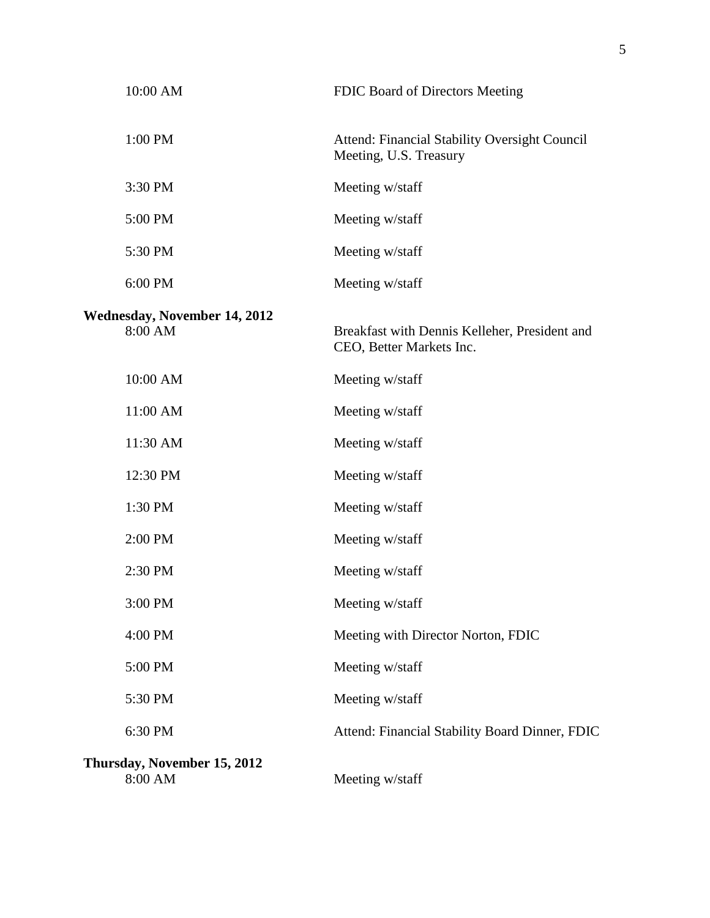| 10:00 AM                                          | FDIC Board of Directors Meeting                                           |
|---------------------------------------------------|---------------------------------------------------------------------------|
| 1:00 PM                                           | Attend: Financial Stability Oversight Council<br>Meeting, U.S. Treasury   |
| 3:30 PM                                           | Meeting w/staff                                                           |
| 5:00 PM                                           | Meeting w/staff                                                           |
| 5:30 PM                                           | Meeting w/staff                                                           |
| 6:00 PM                                           | Meeting w/staff                                                           |
| <b>Wednesday, November 14, 2012</b><br>8:00 AM    | Breakfast with Dennis Kelleher, President and<br>CEO, Better Markets Inc. |
| 10:00 AM                                          | Meeting w/staff                                                           |
| 11:00 AM                                          | Meeting w/staff                                                           |
| 11:30 AM                                          | Meeting w/staff                                                           |
| 12:30 PM                                          | Meeting w/staff                                                           |
| 1:30 PM                                           | Meeting w/staff                                                           |
| 2:00 PM                                           | Meeting w/staff                                                           |
| 2:30 PM                                           | Meeting w/staff                                                           |
| 3:00 PM                                           | Meeting w/staff                                                           |
| 4:00 PM                                           | Meeting with Director Norton, FDIC                                        |
| 5:00 PM                                           | Meeting w/staff                                                           |
| 5:30 PM                                           | Meeting w/staff                                                           |
| 6:30 PM                                           | Attend: Financial Stability Board Dinner, FDIC                            |
| Thursday, November 15, 2012<br>$8:00~\mathrm{AM}$ | Meeting w/staff                                                           |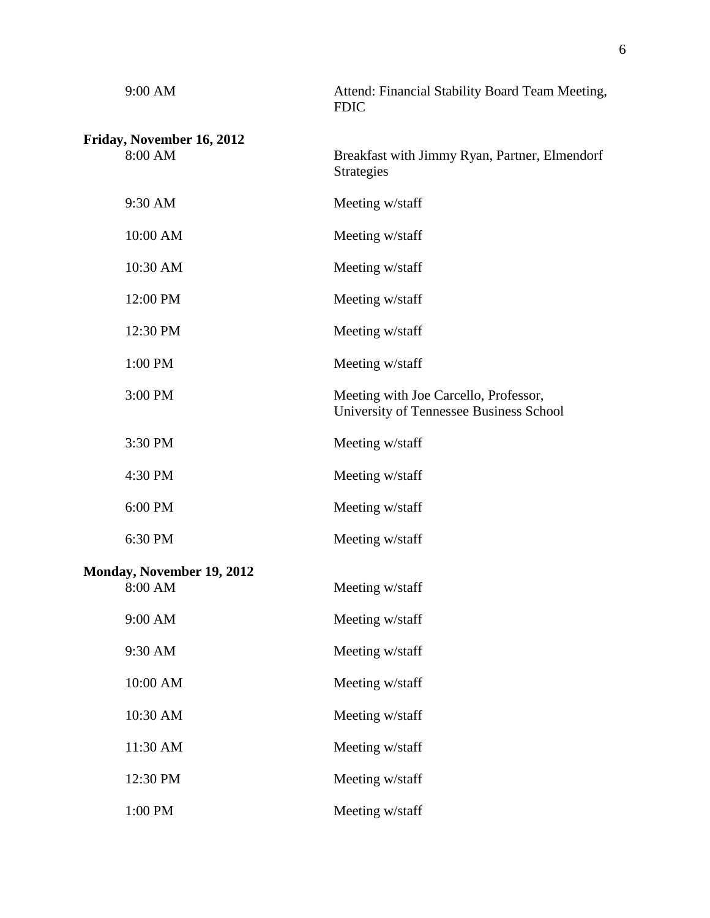| 9:00 AM                   | Attend: Financial Stability Board Team Meeting,<br><b>FDIC</b>                   |
|---------------------------|----------------------------------------------------------------------------------|
| Friday, November 16, 2012 |                                                                                  |
| 8:00 AM                   | Breakfast with Jimmy Ryan, Partner, Elmendorf<br><b>Strategies</b>               |
| 9:30 AM                   | Meeting w/staff                                                                  |
| 10:00 AM                  | Meeting w/staff                                                                  |
| 10:30 AM                  | Meeting w/staff                                                                  |
| 12:00 PM                  | Meeting w/staff                                                                  |
| 12:30 PM                  | Meeting w/staff                                                                  |
| 1:00 PM                   | Meeting w/staff                                                                  |
| 3:00 PM                   | Meeting with Joe Carcello, Professor,<br>University of Tennessee Business School |
| 3:30 PM                   | Meeting w/staff                                                                  |
| 4:30 PM                   | Meeting w/staff                                                                  |
| 6:00 PM                   | Meeting w/staff                                                                  |
| 6:30 PM                   | Meeting w/staff                                                                  |
| Monday, November 19, 2012 |                                                                                  |
| 8:00 AM                   | Meeting w/staff                                                                  |
| 9:00 AM                   | Meeting w/staff                                                                  |
| 9:30 AM                   | Meeting w/staff                                                                  |
| 10:00 AM                  | Meeting w/staff                                                                  |
| 10:30 AM                  | Meeting w/staff                                                                  |
| 11:30 AM                  | Meeting w/staff                                                                  |
| 12:30 PM                  | Meeting w/staff                                                                  |
| 1:00 PM                   | Meeting w/staff                                                                  |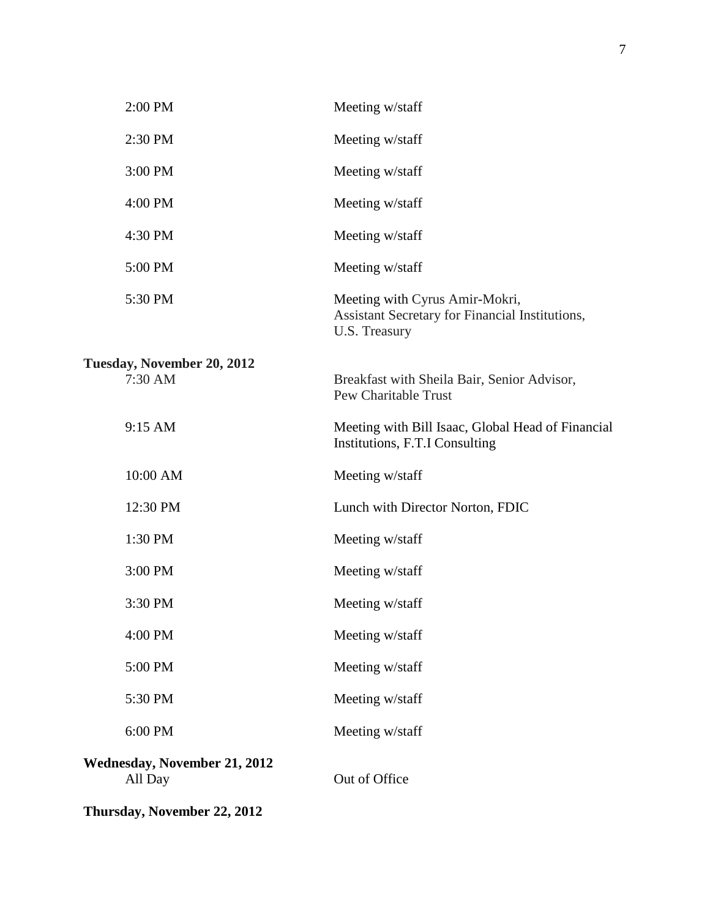| 2:00 PM                                        | Meeting w/staff                                                                                           |
|------------------------------------------------|-----------------------------------------------------------------------------------------------------------|
| 2:30 PM                                        | Meeting w/staff                                                                                           |
| 3:00 PM                                        | Meeting w/staff                                                                                           |
| 4:00 PM                                        | Meeting w/staff                                                                                           |
| 4:30 PM                                        | Meeting w/staff                                                                                           |
| 5:00 PM                                        | Meeting w/staff                                                                                           |
| 5:30 PM                                        | Meeting with Cyrus Amir-Mokri,<br>Assistant Secretary for Financial Institutions,<br><b>U.S. Treasury</b> |
| Tuesday, November 20, 2012                     |                                                                                                           |
| 7:30 AM                                        | Breakfast with Sheila Bair, Senior Advisor,<br><b>Pew Charitable Trust</b>                                |
| 9:15 AM                                        | Meeting with Bill Isaac, Global Head of Financial<br>Institutions, F.T.I Consulting                       |
| 10:00 AM                                       | Meeting w/staff                                                                                           |
| 12:30 PM                                       | Lunch with Director Norton, FDIC                                                                          |
| 1:30 PM                                        | Meeting w/staff                                                                                           |
| 3:00 PM                                        | Meeting w/staff                                                                                           |
| 3:30 PM                                        | Meeting w/staff                                                                                           |
| 4:00 PM                                        | Meeting w/staff                                                                                           |
| 5:00 PM                                        | Meeting w/staff                                                                                           |
| 5:30 PM                                        | Meeting w/staff                                                                                           |
| 6:00 PM                                        | Meeting w/staff                                                                                           |
| <b>Wednesday, November 21, 2012</b><br>All Day | Out of Office                                                                                             |
| Thursday, November 22, 2012                    |                                                                                                           |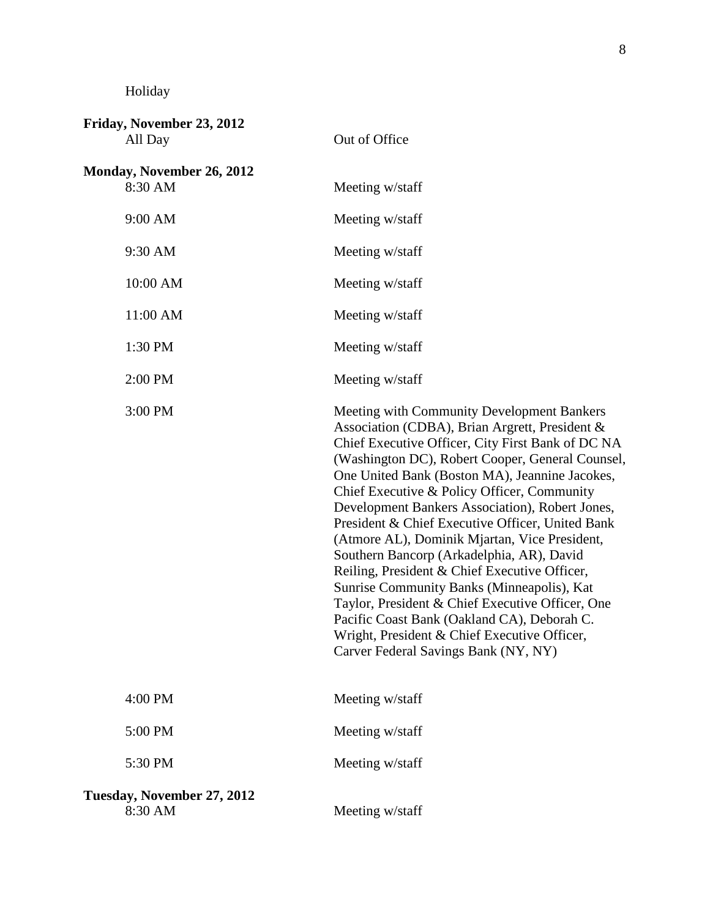Holiday

| Friday, November 23, 2012<br>All Day  | Out of Office                                                                                                                                                                                                                                                                                                                                                                                                                                                                                                                                                                                                                                                                                                                                                                                         |
|---------------------------------------|-------------------------------------------------------------------------------------------------------------------------------------------------------------------------------------------------------------------------------------------------------------------------------------------------------------------------------------------------------------------------------------------------------------------------------------------------------------------------------------------------------------------------------------------------------------------------------------------------------------------------------------------------------------------------------------------------------------------------------------------------------------------------------------------------------|
| Monday, November 26, 2012<br>8:30 AM  | Meeting w/staff                                                                                                                                                                                                                                                                                                                                                                                                                                                                                                                                                                                                                                                                                                                                                                                       |
| 9:00 AM                               | Meeting w/staff                                                                                                                                                                                                                                                                                                                                                                                                                                                                                                                                                                                                                                                                                                                                                                                       |
| 9:30 AM                               | Meeting w/staff                                                                                                                                                                                                                                                                                                                                                                                                                                                                                                                                                                                                                                                                                                                                                                                       |
| 10:00 AM                              | Meeting w/staff                                                                                                                                                                                                                                                                                                                                                                                                                                                                                                                                                                                                                                                                                                                                                                                       |
| 11:00 AM                              | Meeting w/staff                                                                                                                                                                                                                                                                                                                                                                                                                                                                                                                                                                                                                                                                                                                                                                                       |
| 1:30 PM                               | Meeting w/staff                                                                                                                                                                                                                                                                                                                                                                                                                                                                                                                                                                                                                                                                                                                                                                                       |
| 2:00 PM                               | Meeting w/staff                                                                                                                                                                                                                                                                                                                                                                                                                                                                                                                                                                                                                                                                                                                                                                                       |
| 3:00 PM                               | Meeting with Community Development Bankers<br>Association (CDBA), Brian Argrett, President &<br>Chief Executive Officer, City First Bank of DC NA<br>(Washington DC), Robert Cooper, General Counsel,<br>One United Bank (Boston MA), Jeannine Jacokes,<br>Chief Executive & Policy Officer, Community<br>Development Bankers Association), Robert Jones,<br>President & Chief Executive Officer, United Bank<br>(Atmore AL), Dominik Mjartan, Vice President,<br>Southern Bancorp (Arkadelphia, AR), David<br>Reiling, President & Chief Executive Officer,<br>Sunrise Community Banks (Minneapolis), Kat<br>Taylor, President & Chief Executive Officer, One<br>Pacific Coast Bank (Oakland CA), Deborah C.<br>Wright, President & Chief Executive Officer,<br>Carver Federal Savings Bank (NY, NY) |
| 4:00 PM                               | Meeting w/staff                                                                                                                                                                                                                                                                                                                                                                                                                                                                                                                                                                                                                                                                                                                                                                                       |
| 5:00 PM                               | Meeting w/staff                                                                                                                                                                                                                                                                                                                                                                                                                                                                                                                                                                                                                                                                                                                                                                                       |
| 5:30 PM                               | Meeting w/staff                                                                                                                                                                                                                                                                                                                                                                                                                                                                                                                                                                                                                                                                                                                                                                                       |
| Tuesday, November 27, 2012<br>8:30 AM | Meeting w/staff                                                                                                                                                                                                                                                                                                                                                                                                                                                                                                                                                                                                                                                                                                                                                                                       |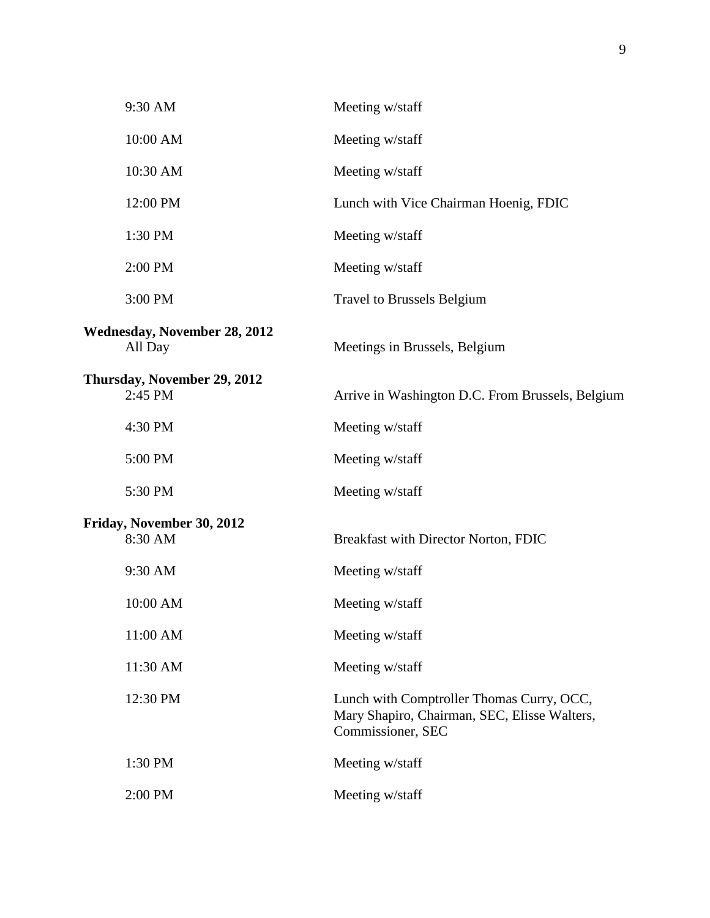| 9:30 AM                                        | Meeting w/staff                                                                                                |
|------------------------------------------------|----------------------------------------------------------------------------------------------------------------|
| 10:00 AM                                       | Meeting w/staff                                                                                                |
| 10:30 AM                                       | Meeting w/staff                                                                                                |
| 12:00 PM                                       | Lunch with Vice Chairman Hoenig, FDIC                                                                          |
| 1:30 PM                                        | Meeting w/staff                                                                                                |
| 2:00 PM                                        | Meeting w/staff                                                                                                |
| 3:00 PM                                        | <b>Travel to Brussels Belgium</b>                                                                              |
| <b>Wednesday, November 28, 2012</b><br>All Day | Meetings in Brussels, Belgium                                                                                  |
| Thursday, November 29, 2012<br>2:45 PM         | Arrive in Washington D.C. From Brussels, Belgium                                                               |
| 4:30 PM                                        | Meeting w/staff                                                                                                |
| 5:00 PM                                        | Meeting w/staff                                                                                                |
| 5:30 PM                                        | Meeting w/staff                                                                                                |
| Friday, November 30, 2012<br>8:30 AM           | Breakfast with Director Norton, FDIC                                                                           |
| 9:30 AM                                        | Meeting w/staff                                                                                                |
| 10:00 AM                                       | Meeting w/staff                                                                                                |
| 11:00 AM                                       | Meeting w/staff                                                                                                |
| 11:30 AM                                       | Meeting w/staff                                                                                                |
| 12:30 PM                                       | Lunch with Comptroller Thomas Curry, OCC,<br>Mary Shapiro, Chairman, SEC, Elisse Walters,<br>Commissioner, SEC |
| 1:30 PM                                        | Meeting w/staff                                                                                                |
| 2:00 PM                                        | Meeting w/staff                                                                                                |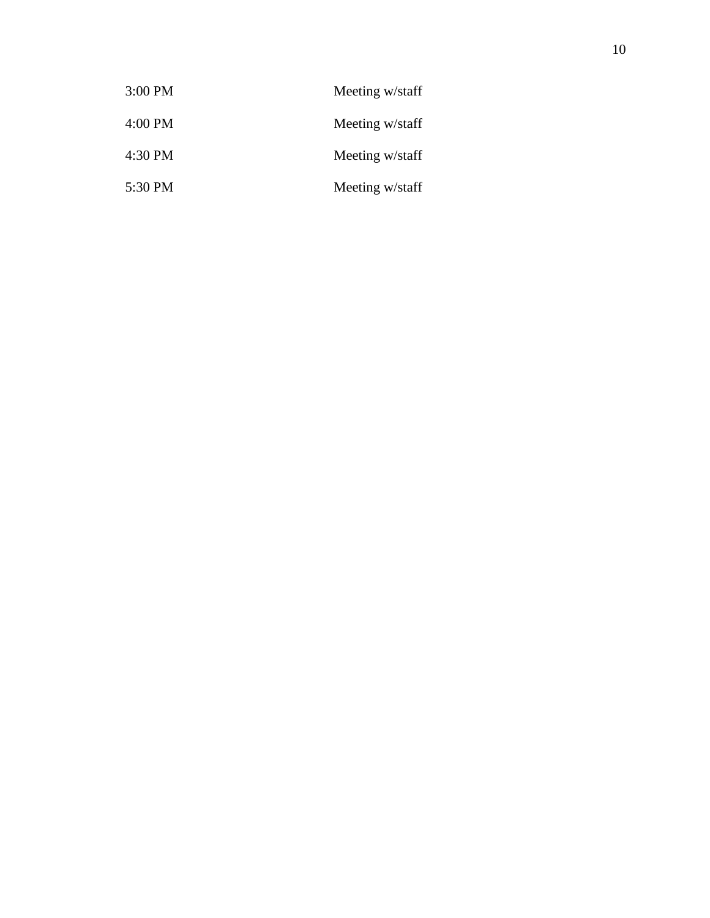| $3:00$ PM | Meeting w/staff |
|-----------|-----------------|
| $4:00$ PM | Meeting w/staff |
| 4:30 PM   | Meeting w/staff |
| 5:30 PM   | Meeting w/staff |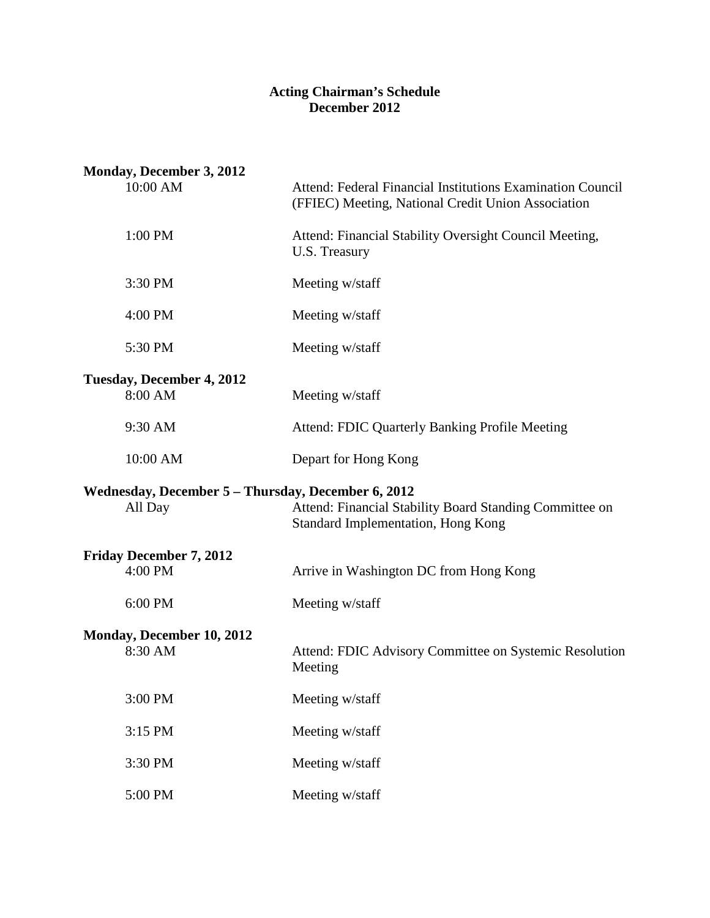#### **Acting Chairman's Schedule December 2012**

| Monday, December 3, 2012<br>10:00 AM                          | Attend: Federal Financial Institutions Examination Council<br>(FFIEC) Meeting, National Credit Union Association |
|---------------------------------------------------------------|------------------------------------------------------------------------------------------------------------------|
| 1:00 PM                                                       | Attend: Financial Stability Oversight Council Meeting,<br>U.S. Treasury                                          |
| 3:30 PM                                                       | Meeting w/staff                                                                                                  |
| 4:00 PM                                                       | Meeting w/staff                                                                                                  |
| 5:30 PM                                                       | Meeting w/staff                                                                                                  |
| Tuesday, December 4, 2012<br>8:00 AM                          | Meeting w/staff                                                                                                  |
| 9:30 AM                                                       | <b>Attend: FDIC Quarterly Banking Profile Meeting</b>                                                            |
| 10:00 AM                                                      | Depart for Hong Kong                                                                                             |
| Wednesday, December 5 - Thursday, December 6, 2012<br>All Day | Attend: Financial Stability Board Standing Committee on<br><b>Standard Implementation, Hong Kong</b>             |
| <b>Friday December 7, 2012</b><br>4:00 PM                     | Arrive in Washington DC from Hong Kong                                                                           |
| 6:00 PM                                                       | Meeting w/staff                                                                                                  |
| Monday, December 10, 2012<br>8:30 AM                          | Attend: FDIC Advisory Committee on Systemic Resolution<br>Meeting                                                |
| 3:00 PM                                                       | Meeting w/staff                                                                                                  |
| 3:15 PM                                                       | Meeting w/staff                                                                                                  |
| 3:30 PM                                                       | Meeting w/staff                                                                                                  |
| 5:00 PM                                                       | Meeting w/staff                                                                                                  |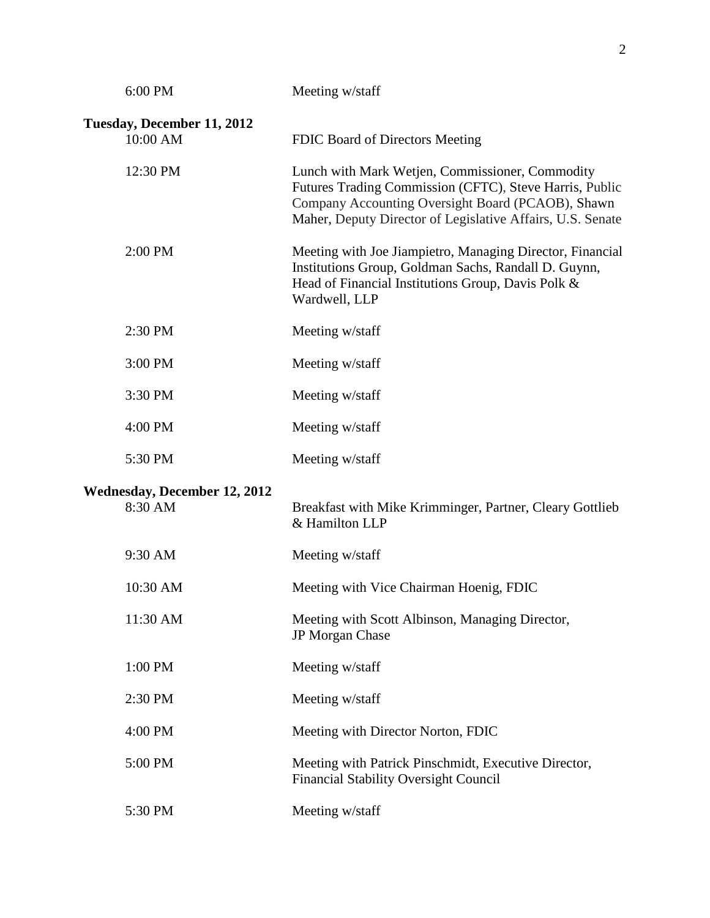| 6:00 PM                                        | Meeting w/staff                                                                                                                                                                                                               |
|------------------------------------------------|-------------------------------------------------------------------------------------------------------------------------------------------------------------------------------------------------------------------------------|
| Tuesday, December 11, 2012<br>10:00 AM         | FDIC Board of Directors Meeting                                                                                                                                                                                               |
| 12:30 PM                                       | Lunch with Mark Wetjen, Commissioner, Commodity<br>Futures Trading Commission (CFTC), Steve Harris, Public<br>Company Accounting Oversight Board (PCAOB), Shawn<br>Maher, Deputy Director of Legislative Affairs, U.S. Senate |
| 2:00 PM                                        | Meeting with Joe Jiampietro, Managing Director, Financial<br>Institutions Group, Goldman Sachs, Randall D. Guynn,<br>Head of Financial Institutions Group, Davis Polk &<br>Wardwell, LLP                                      |
| 2:30 PM                                        | Meeting w/staff                                                                                                                                                                                                               |
| 3:00 PM                                        | Meeting w/staff                                                                                                                                                                                                               |
| 3:30 PM                                        | Meeting w/staff                                                                                                                                                                                                               |
| 4:00 PM                                        | Meeting w/staff                                                                                                                                                                                                               |
| 5:30 PM                                        | Meeting w/staff                                                                                                                                                                                                               |
| <b>Wednesday, December 12, 2012</b><br>8:30 AM | Breakfast with Mike Krimminger, Partner, Cleary Gottlieb<br>& Hamilton LLP                                                                                                                                                    |
| 9:30 AM                                        | Meeting w/staff                                                                                                                                                                                                               |
| 10:30 AM                                       | Meeting with Vice Chairman Hoenig, FDIC                                                                                                                                                                                       |
| 11:30 AM                                       | Meeting with Scott Albinson, Managing Director,<br>JP Morgan Chase                                                                                                                                                            |
| 1:00 PM                                        | Meeting w/staff                                                                                                                                                                                                               |
| 2:30 PM                                        | Meeting w/staff                                                                                                                                                                                                               |
| 4:00 PM                                        | Meeting with Director Norton, FDIC                                                                                                                                                                                            |
| 5:00 PM                                        | Meeting with Patrick Pinschmidt, Executive Director,<br><b>Financial Stability Oversight Council</b>                                                                                                                          |
| 5:30 PM                                        | Meeting w/staff                                                                                                                                                                                                               |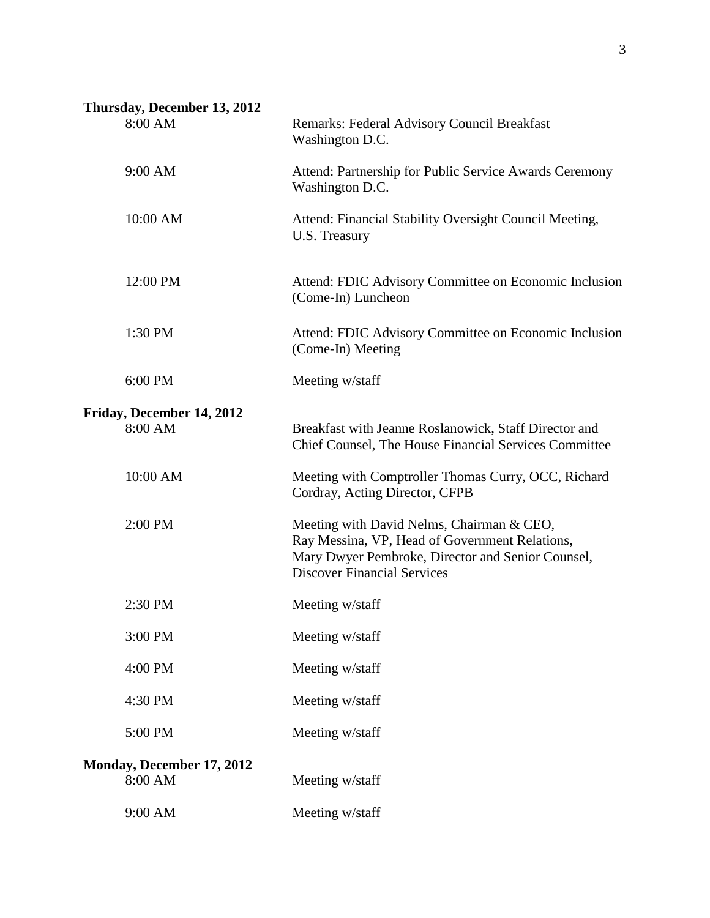# **Thursday, December 13, 2012**

| 8:00 AM                                     | Remarks: Federal Advisory Council Breakfast<br>Washington D.C.                                                                                                                         |
|---------------------------------------------|----------------------------------------------------------------------------------------------------------------------------------------------------------------------------------------|
| 9:00 AM                                     | Attend: Partnership for Public Service Awards Ceremony<br>Washington D.C.                                                                                                              |
| 10:00 AM                                    | Attend: Financial Stability Oversight Council Meeting,<br>U.S. Treasury                                                                                                                |
| 12:00 PM                                    | Attend: FDIC Advisory Committee on Economic Inclusion<br>(Come-In) Luncheon                                                                                                            |
| 1:30 PM                                     | Attend: FDIC Advisory Committee on Economic Inclusion<br>(Come-In) Meeting                                                                                                             |
| 6:00 PM                                     | Meeting w/staff                                                                                                                                                                        |
| Friday, December 14, 2012<br>8:00 AM        | Breakfast with Jeanne Roslanowick, Staff Director and<br>Chief Counsel, The House Financial Services Committee                                                                         |
| 10:00 AM                                    | Meeting with Comptroller Thomas Curry, OCC, Richard<br>Cordray, Acting Director, CFPB                                                                                                  |
| 2:00 PM                                     | Meeting with David Nelms, Chairman & CEO,<br>Ray Messina, VP, Head of Government Relations,<br>Mary Dwyer Pembroke, Director and Senior Counsel,<br><b>Discover Financial Services</b> |
| 2:30 PM                                     | Meeting w/staff                                                                                                                                                                        |
| 3:00 PM                                     | Meeting w/staff                                                                                                                                                                        |
| 4:00 PM                                     | Meeting w/staff                                                                                                                                                                        |
| 4:30 PM                                     | Meeting w/staff                                                                                                                                                                        |
| 5:00 PM                                     | Meeting w/staff                                                                                                                                                                        |
| <b>Monday, December 17, 2012</b><br>8:00 AM | Meeting w/staff                                                                                                                                                                        |
| 9:00 AM                                     | Meeting w/staff                                                                                                                                                                        |
|                                             |                                                                                                                                                                                        |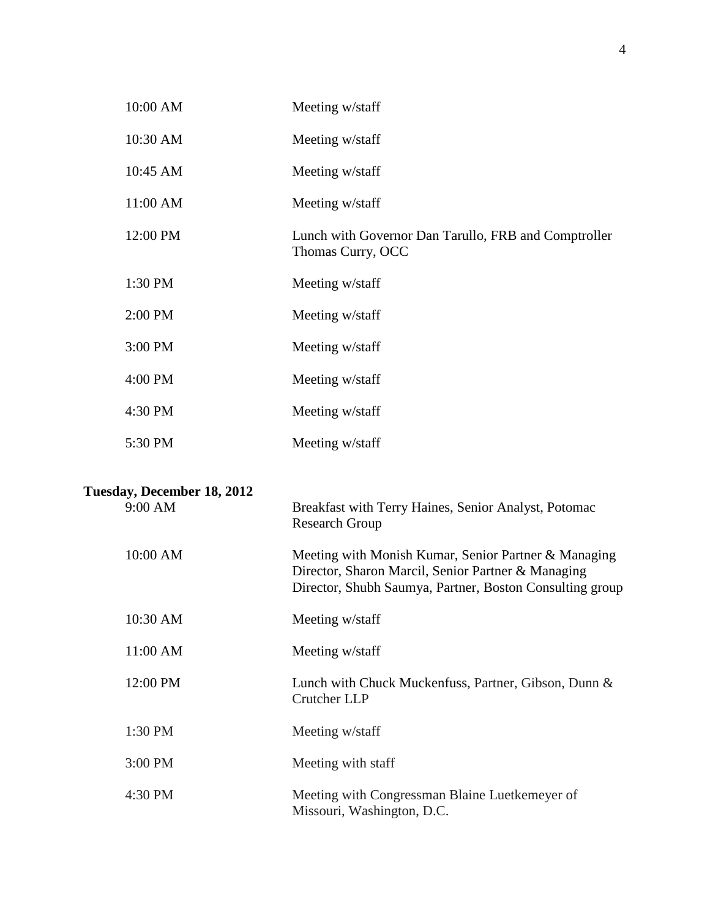| 10:00 AM                   | Meeting w/staff                                                                                                                                                        |
|----------------------------|------------------------------------------------------------------------------------------------------------------------------------------------------------------------|
| 10:30 AM                   | Meeting w/staff                                                                                                                                                        |
| 10:45 AM                   | Meeting w/staff                                                                                                                                                        |
| 11:00 AM                   | Meeting w/staff                                                                                                                                                        |
| 12:00 PM                   | Lunch with Governor Dan Tarullo, FRB and Comptroller<br>Thomas Curry, OCC                                                                                              |
| 1:30 PM                    | Meeting w/staff                                                                                                                                                        |
| 2:00 PM                    | Meeting w/staff                                                                                                                                                        |
| 3:00 PM                    | Meeting w/staff                                                                                                                                                        |
| 4:00 PM                    | Meeting w/staff                                                                                                                                                        |
| 4:30 PM                    | Meeting w/staff                                                                                                                                                        |
| 5:30 PM                    | Meeting w/staff                                                                                                                                                        |
| Tuesday, December 18, 2012 |                                                                                                                                                                        |
| 9:00 AM                    | Breakfast with Terry Haines, Senior Analyst, Potomac<br><b>Research Group</b>                                                                                          |
| 10:00 AM                   | Meeting with Monish Kumar, Senior Partner & Managing<br>Director, Sharon Marcil, Senior Partner & Managing<br>Director, Shubh Saumya, Partner, Boston Consulting group |
| 10:30 AM                   | Meeting w/staff                                                                                                                                                        |
| 11:00 AM                   | Meeting w/staff                                                                                                                                                        |
| 12:00 PM                   | Lunch with Chuck Muckenfuss, Partner, Gibson, Dunn &<br>Crutcher LLP                                                                                                   |
| 1:30 PM                    | Meeting w/staff                                                                                                                                                        |
| 3:00 PM                    | Meeting with staff                                                                                                                                                     |
| 4:30 PM                    | Meeting with Congressman Blaine Luetkemeyer of<br>Missouri, Washington, D.C.                                                                                           |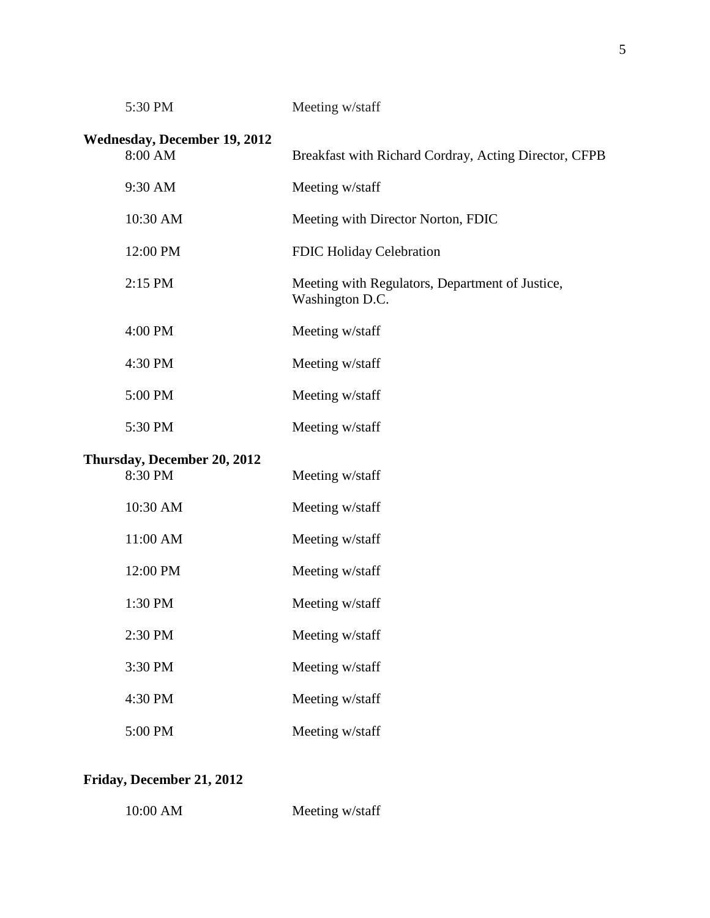| 5:30 PM                                        | Meeting w/staff                                                    |
|------------------------------------------------|--------------------------------------------------------------------|
| <b>Wednesday, December 19, 2012</b><br>8:00 AM | Breakfast with Richard Cordray, Acting Director, CFPB              |
| 9:30 AM                                        | Meeting w/staff                                                    |
| 10:30 AM                                       | Meeting with Director Norton, FDIC                                 |
| 12:00 PM                                       | FDIC Holiday Celebration                                           |
| 2:15 PM                                        | Meeting with Regulators, Department of Justice,<br>Washington D.C. |
| 4:00 PM                                        | Meeting w/staff                                                    |
| 4:30 PM                                        | Meeting w/staff                                                    |
| 5:00 PM                                        | Meeting w/staff                                                    |
| 5:30 PM                                        | Meeting w/staff                                                    |
| Thursday, December 20, 2012<br>8:30 PM         | Meeting w/staff                                                    |
| 10:30 AM                                       | Meeting w/staff                                                    |
| 11:00 AM                                       | Meeting w/staff                                                    |
| 12:00 PM                                       | Meeting w/staff                                                    |
| 1:30 PM                                        | Meeting w/staff                                                    |
| 2:30 PM                                        | Meeting w/staff                                                    |
| 3:30 PM                                        | Meeting w/staff                                                    |
| 4:30 PM                                        | Meeting w/staff                                                    |
| 5:00 PM                                        | Meeting w/staff                                                    |
|                                                |                                                                    |

# **Friday, December 21, 2012**

| 10:00 AM | Meeting w/staff |
|----------|-----------------|
|----------|-----------------|